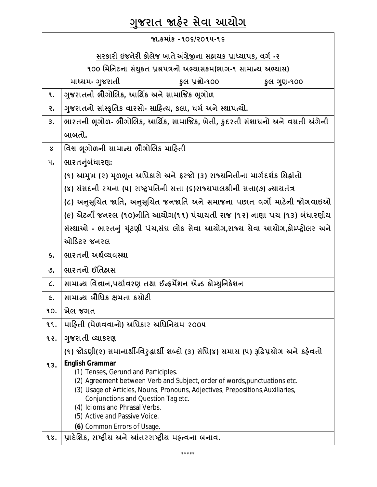## **Ȥુજરાત Ĥહ°ર સેવા આયોગ**

| જા.ક્રમાંક –૧૦૬/૨૦૧૫-૧૬                                          |                                                                                                                                                                                                                                                                                                                                                                     |  |
|------------------------------------------------------------------|---------------------------------------------------------------------------------------------------------------------------------------------------------------------------------------------------------------------------------------------------------------------------------------------------------------------------------------------------------------------|--|
| સરકારી ઇજનેરી કોલેજ ખાતે અંગ્રેજીના સહ્યયક પ્રાધ્યાપક, વર્ગ -૨   |                                                                                                                                                                                                                                                                                                                                                                     |  |
| ૧૦૦ મિનિટના સંયુકત પ્રશ્નપત્રનો અભ્યાસક્રમ(ભાગ-૧ સામાન્ય અભ્યાસ) |                                                                                                                                                                                                                                                                                                                                                                     |  |
| માધ્યમ- ગુજરાતી<br>કુલ પ્રશ્નો-૧૦૦<br>કુલ ગુણ-૧૦૦                |                                                                                                                                                                                                                                                                                                                                                                     |  |
| ۹.                                                               | ગુજરાતની ભૌગોલિક, આર્થિક અને સામાજિક ભૂગોળ                                                                                                                                                                                                                                                                                                                          |  |
| २.                                                               | ગુજરાતનો સાંસ્કૃતિક વારસો- સાહિત્ય, કલા, ધર્મ અને સ્થાપત્યો.                                                                                                                                                                                                                                                                                                        |  |
| 3.                                                               | ભારતની ભૂગોળ- ભૌગોલિક, આર્થિક, સામાજિક, ખેતી, કુદરતી સંશાધનો અને વસતી અંગેની                                                                                                                                                                                                                                                                                        |  |
|                                                                  | બાબતો.                                                                                                                                                                                                                                                                                                                                                              |  |
| $\mathsf{x}$                                                     | વિશ્વ ભૂગોળની સામાન્ય ભૌગોલિક માહિતી                                                                                                                                                                                                                                                                                                                                |  |
| ૫.                                                               | ભારતનુંબંધારણ:                                                                                                                                                                                                                                                                                                                                                      |  |
|                                                                  | (૧) આમુખ (૨) મૂળભૂત અધિકારો અને ફરજો (૩) રાજ્યનિતીના માર્ગદર્શક સિદ્ધાંતો                                                                                                                                                                                                                                                                                           |  |
|                                                                  | (४) સંસદની રચના (૫) રાષ્ટ્રપતિની સત્તા (૬)રાજ્યપાલશ્રીની સત્તા(૭) ન્યાયતંત્ર                                                                                                                                                                                                                                                                                        |  |
|                                                                  | (૮) અનુસૂચિત જાતિ, અનુસૂચિત જનજાતિ અને સમાજના પછાત વર્ગો માટેની જોગવાઇઓ                                                                                                                                                                                                                                                                                             |  |
|                                                                  | (૯) એટર્ની જનરલ (૧૦)નીતિ આયોગ(૧૧) પંચાયતી રાજ (૧૨) નાણા પંચ (૧૩) બંધારણીય                                                                                                                                                                                                                                                                                           |  |
|                                                                  | સંસ્થાઓ - ભારતનું યૂંટણી પંચ,સંઘ લોક સેવા આયોગ,રાજ્ય સેવા આયોગ,કોમ્પ્ટ્રોલર અને                                                                                                                                                                                                                                                                                     |  |
|                                                                  | ઓડિટર જનરલ                                                                                                                                                                                                                                                                                                                                                          |  |
| $\mathsf{S}$ .                                                   | ભારતની અર્થવ્યવસ્થા                                                                                                                                                                                                                                                                                                                                                 |  |
| ৩.                                                               | ભારતનો ઈતિહ્નસ                                                                                                                                                                                                                                                                                                                                                      |  |
| $\mathcal{C}$ .                                                  | સામાન્ય વિજ્ઞાન,પર્યાવરણ તથા ઈન્ફર્મેશન એન્ડ કોમ્યુનિકેશન                                                                                                                                                                                                                                                                                                           |  |
| $\epsilon$ .                                                     | સામાન્ય બૌધિક ક્ષમતા કસોટી                                                                                                                                                                                                                                                                                                                                          |  |
| 90.                                                              | ખેલ જગત                                                                                                                                                                                                                                                                                                                                                             |  |
| ٩٩.                                                              | માહિતી (મેળવવાનો) અધિકાર અધિનિયમ ૨૦૦૫                                                                                                                                                                                                                                                                                                                               |  |
| १२.                                                              | ગુજરાતી વ્યાકરણ                                                                                                                                                                                                                                                                                                                                                     |  |
|                                                                  | (૧) જોડણી(૨) સમાનાર્થી-વિરુદ્ધાર્થી શબ્દો (૩) સંધિ(૪) સમાસ (૫) રૂઢિપ્રયોગ અને કઠેવતો                                                                                                                                                                                                                                                                                |  |
| 93.                                                              | <b>English Grammar</b><br>(1) Tenses, Gerund and Participles.<br>(2) Agreement between Verb and Subject, order of words, punctuations etc.<br>(3) Usage of Articles, Nouns, Pronouns, Adjectives, Prepositions, Auxiliaries,<br>Conjunctions and Question Tag etc.<br>(4) Idioms and Phrasal Verbs.<br>(5) Active and Passive Voice.<br>(6) Common Errors of Usage. |  |
| 98.                                                              | પ્રાદેશિક, રાષ્ટ્રીય અને આંતરરાષ્ટ્રીય મહ્ત્વના બનાવ.                                                                                                                                                                                                                                                                                                               |  |